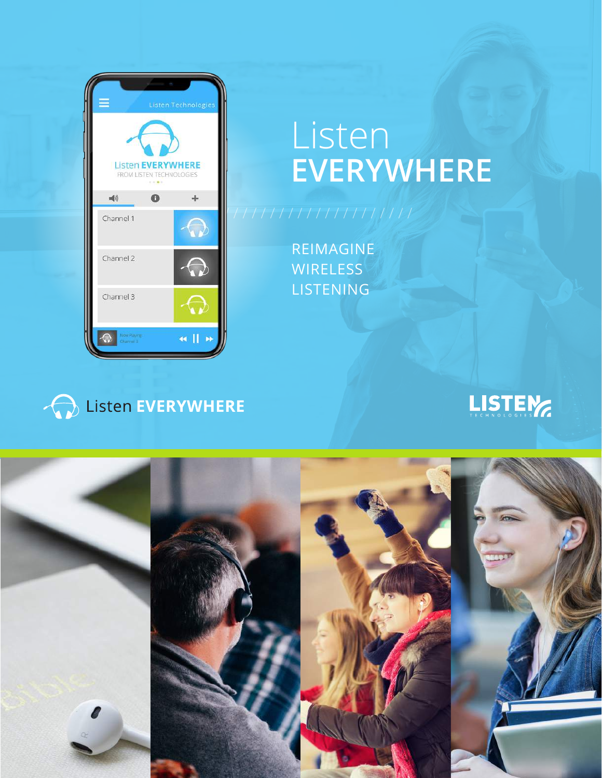

# Listen **EVERYWHERE**

REIMAGINE **WIRELESS** LISTENING





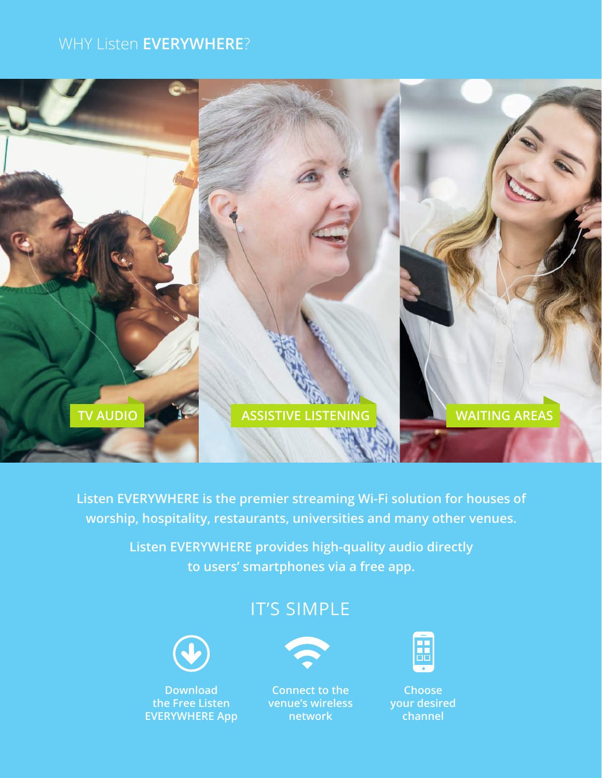## WHY Listen **EVERYWHERE**?



**Listen EVERYWHERE is the premier streaming Wi-Fi solution for houses of worship, hospitality, restaurants, universities and many other venues.** 

> **Listen EVERYWHERE provides high-quality audio directly to users' smartphones via a free app.**

# IT'S SIMPLE



**Download the Free Listen EVERYWHERE App**



**Connect to the venue's wireless network**



**Choose your desired channel**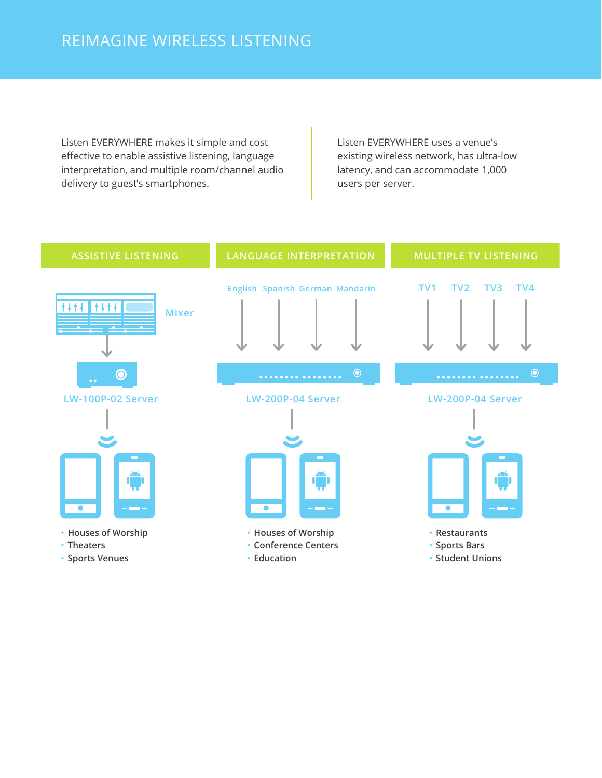Listen EVERYWHERE makes it simple and cost effective to enable assistive listening, language interpretation, and multiple room/channel audio delivery to guest's smartphones.

Listen EVERYWHERE uses a venue's existing wireless network, has ultra-low latency, and can accommodate 1,000 users per server.

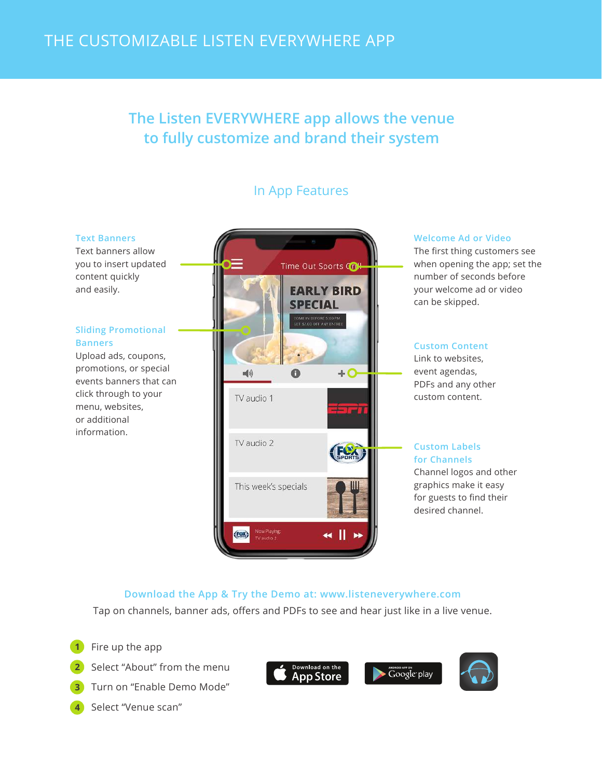# **The Listen EVERYWHERE app allows the venue to fully customize and brand their system**

## In App Features

#### **Text Banners**

Text banners allow you to insert updated content quickly and easily.

#### **Sliding Promotional Banners**

Upload ads, coupons, promotions, or special events banners that can click through to your menu, websites, or additional information.



#### **Welcome Ad or Video**

The first thing customers see when opening the app; set the number of seconds before your welcome ad or video can be skipped.

### **Custom Content**

Link to websites, event agendas, PDFs and any other custom content.

#### **Custom Labels for Channels**

Channel logos and other graphics make it easy for guests to find their desired channel.

## **Download the App & Try the Demo at: www.listeneverywhere.com**

Tap on channels, banner ads, offers and PDFs to see and hear just like in a live venue.

- Fire up the app **1**
- Select "About" from the menu **2**
- Turn on "Enable Demo Mode" **3**
- Select "Venue scan" **4**



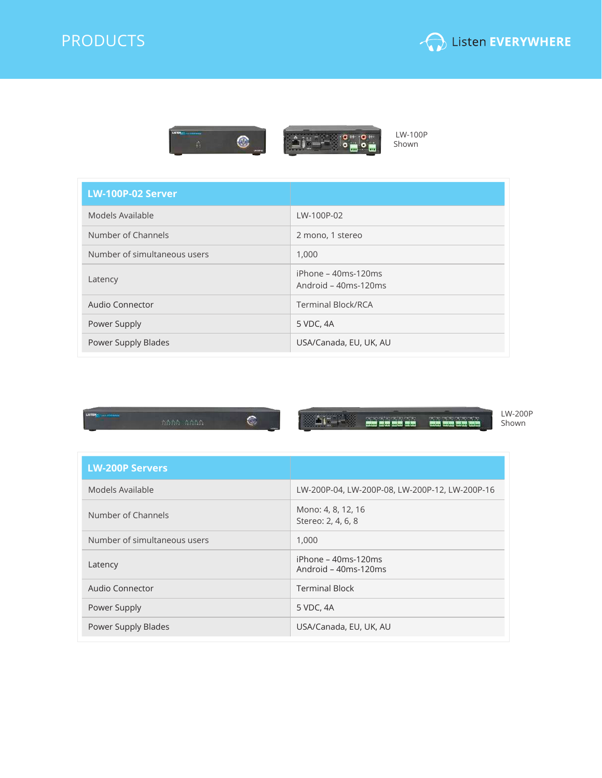







 LW-100P Shown

| LW-100P-02 Server            |                                             |
|------------------------------|---------------------------------------------|
| Models Available             | LW-100P-02                                  |
| Number of Channels           | 2 mono, 1 stereo                            |
| Number of simultaneous users | 1,000                                       |
| Latency                      | iPhone - 40ms-120ms<br>Android - 40ms-120ms |
| Audio Connector              | <b>Terminal Block/RCA</b>                   |
| Power Supply                 | 5 VDC, 4A                                   |
| Power Supply Blades          | USA/Canada, EU, UK, AU                      |



and the complete of the same of the same of the same of the same of the same of the same of the same of the same of the same of the same of the same of the same of the same of the same of the same of the same of the same o

LW-200P Shown

| <b>LW-200P Servers</b>       |                                                |
|------------------------------|------------------------------------------------|
| Models Available             | LW-200P-04, LW-200P-08, LW-200P-12, LW-200P-16 |
| Number of Channels           | Mono: 4, 8, 12, 16<br>Stereo: 2, 4, 6, 8       |
| Number of simultaneous users | 1,000                                          |
| Latency                      | iPhone – 40ms-120ms<br>Android - 40ms-120ms    |
| Audio Connector              | <b>Terminal Block</b>                          |
| Power Supply                 | 5 VDC, 4A                                      |
| Power Supply Blades          | USA/Canada, EU, UK, AU                         |